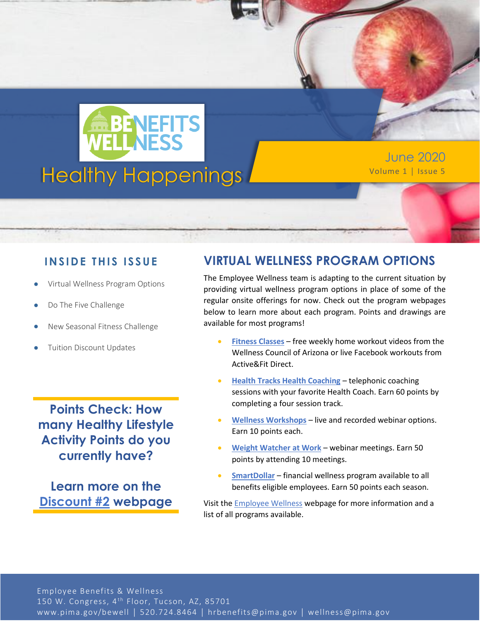

June 2020

## **IN SID E TH IS ISS UE**

- Virtual Wellness Program Options
- Do The Five Challenge
- New Seasonal Fitness Challenge
- Tuition Discount Updates

**Points Check: How many Healthy Lifestyle Activity Points do you currently have?**

**Learn more on the [Discount #2](https://webcms.pima.gov/cms/One.aspx?portalId=169&pageId=474239) webpage**

# **VIRTUAL WELLNESS PROGRAM OPTIONS**

The Employee Wellness team is adapting to the current situation by providing virtual wellness program options in place of some of the regular onsite offerings for now. Check out the program webpages below to learn more about each program. Points and drawings are available for most programs!

- **[Fitness Classes](https://webcms.pima.gov/cms/one.aspx?portalId=169&pageId=14575)** free weekly home workout videos from the Wellness Council of Arizona or live Facebook workouts from Active&Fit Direct.
- **[Health Tracks Health Coaching](https://webcms.pima.gov/cms/one.aspx?portalId=169&pageId=14267)** telephonic coaching sessions with your favorite Health Coach. Earn 60 points by completing a four session track.
- **[Wellness Workshops](https://webcms.pima.gov/cms/one.aspx?portalId=169&pageId=17864)** live and recorded webinar options. Earn 10 points each.
- **[Weight Watcher at Work](https://webcms.pima.gov/cms/One.aspx?portalId=169&pageId=36044)** webinar meetings. Earn 50 points by attending 10 meetings.
- **[SmartDollar](https://webcms.pima.gov/cms/One.aspx?portalId=169&pageId=540249)** financial wellness program available to all benefits eligible employees. Earn 50 points each season.

Visit the [Employee Wellness](https://webcms.pima.gov/cms/One.aspx?portalId=169&pageId=2908) webpage for more information and a list of all programs available.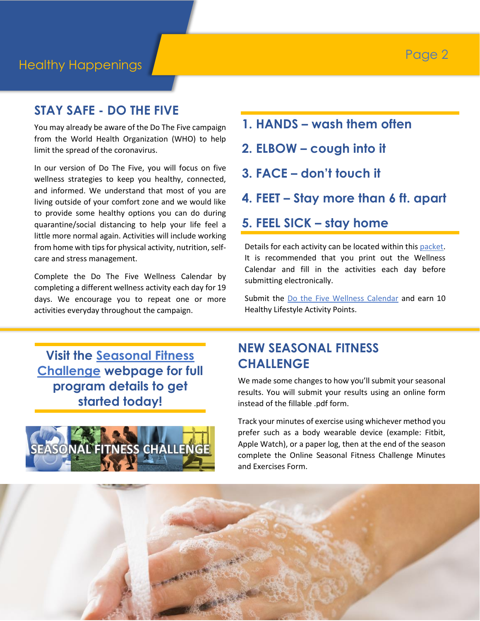## **STAY SAFE - DO THE FIVE**

You may already be aware of the Do The Five campaign from the World Health Organization (WHO) to help limit the spread of the coronavirus.

In our version of Do The Five, you will focus on five wellness strategies to keep you healthy, connected, and informed. We understand that most of you are living outside of your comfort zone and we would like to provide some healthy options you can do during quarantine/social distancing to help your life feel a little more normal again. Activities will include working from home with tips for physical activity, nutrition, selfcare and stress management.

Complete the Do The Five Wellness Calendar by completing a different wellness activity each day for 19 days. We encourage you to repeat one or more activities everyday throughout the campaign.

**1. HANDS – wash them often**

- **2. ELBOW – cough into it**
- **3. FACE – don't touch it**
- **4. FEET – Stay more than 6 ft. apart**

## **5. FEEL SICK – stay home**

Details for each activity can be located within this [packet.](https://webcms.pima.gov/UserFiles/Servers/Server_6/File/Government/Human%20Resources/Wellness/Do%20The%20Five/Do%20the%20Five%20Wellness%20Campaign.pdf) It is recommended that you print out the Wellness Calendar and fill in the activities each day before submitting electronically.

Submit the [Do the Five Wellness Calendar](https://www.surveymonkey.com/r/dothe5) and earn 10 Healthy Lifestyle Activity Points.

**Visit the [Seasonal Fitness](https://webcms.pima.gov/cms/One.aspx?portalId=169&pageId=14271)  [Challenge](https://webcms.pima.gov/cms/One.aspx?portalId=169&pageId=14271) webpage for full program details to get started today!**



# **NEW SEASONAL FITNESS CHALLENGE**

We made some changes to how you'll submit your seasonal results. You will submit your results using an online form instead of the fillable .pdf form.

Track your minutes of exercise using whichever method you prefer such as a body wearable device (example: Fitbit, Apple Watch), or a paper log, then at the end of the season complete the Online Seasonal Fitness Challenge Minutes and Exercises Form.